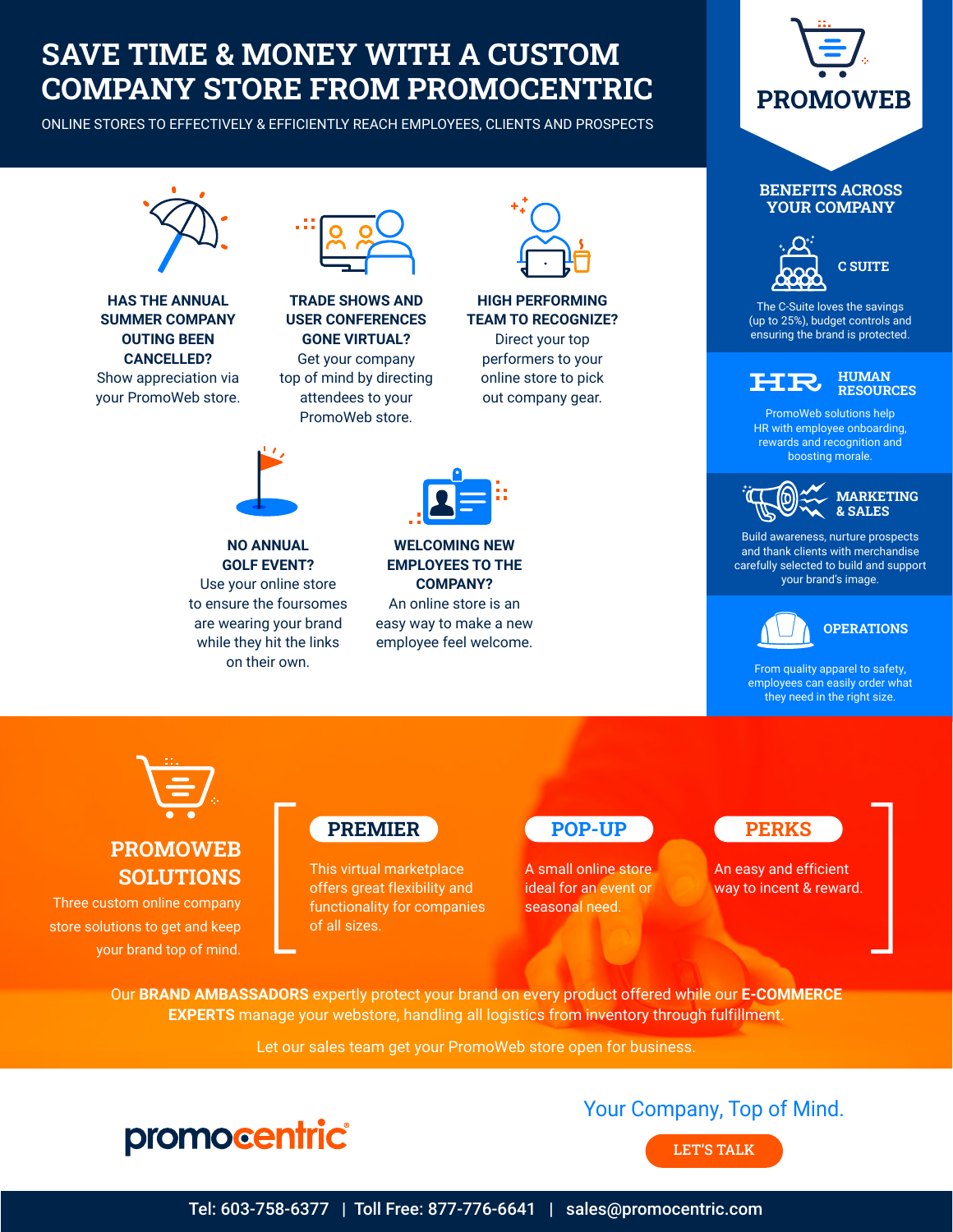### SAVE TIME & MONEY WITH A CUSTOM COMPANY STORE FROM PROMOCENTRIC

ONLINE STORES TO EFFECTIVELY & EFFICIENTLY REACH EMPLOYEES, CLIENTS AND PROSPECTS







### [PROMOWEB](https://www.promocentric.com/services/) SOLUTIONS

Three custom online company store solutions to get and keep your brand top of mind.



This virtual marketplace offers great flexibility and functionality for companies of all sizes. **EXEMILER POP-UP**<br>
This virtual marketplace<br>
offers great flexibility and<br>
functionality for companies seasonal need.<br>
of all sizes.

#### POP-UP

A small online store ideal for an event or seasonal need.

#### **PERKS**

An easy and efficient way to incent & reward.

Our **BRAND AMBASSADORS** expertly protect your brand on every product offered while our **E-COMMERCE EXPERTS** manage your webstore, handling all logistics from inventory through fulfillment.

Let our sales team get your PromoWeb store open for business.



### Your Company, Top of Mind.